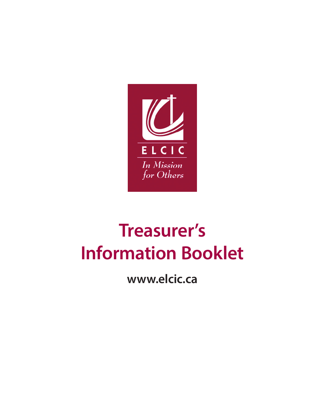

# **Treasurer's Information Booklet**

**www.elcic.ca**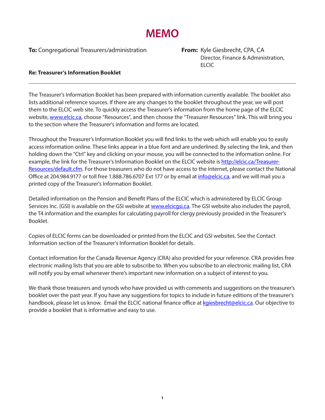## **MEMO**

**To:** Congregational Treasurers/administration **From:** Kyle Giesbrecht, CPA, CA

 Director, Finance & Administration, ELCIC

#### **Re: Treasurer's Information Booklet**

The Treasurer's Information Booklet has been prepared with information currently available. The booklet also lists additional reference sources. If there are any changes to the booklet throughout the year, we will post them to the ELCIC web site. To quickly access the Treasurer's information from the home page of the ELCIC website, www.elcic.ca, choose "Resources", and then choose the "Treasurer Resources" link. This will bring you to the section where the Treasurer's information and forms are located.

Throughout the Treasurer's Information Booklet you will find links to the web which will enable you to easily access information online. These links appear in a blue font and are underlined. By selecting the link, and then holding down the "Ctrl" key and clicking on your mouse, you will be connected to the information online. For example, the link for the Treasurer's Information Booklet on the ELCIC website is http://elcic.ca/Treasurer-Resources/default.cfm. For those treasurers who do not have access to the Internet, please contact the National Office at 204.984.9177 or toll free 1.888.786.6707 Ext 177 or by email at *info@elcic.ca*, and we will mail you a printed copy of the Treasurer's Information Booklet.

Detailed information on the Pension and Benefit Plans of the ELCIC which is administered by ELCIC Group Services Inc. (GSI) is available on the GSI website at www.elcicgsi.ca. The GSI website also includes the payroll, the T4 information and the examples for calculating payroll for clergy previously provided in the Treasurer's Booklet.

Copies of ELCIC forms can be downloaded or printed from the ELCIC and GSI websites. See the Contact Information section of the Treasurer's Information Booklet for details.

Contact information for the Canada Revenue Agency (CRA) also provided for your reference. CRA provides free electronic mailing lists that you are able to subscribe to. When you subscribe to an electronic mailing list, CRA will notify you by email whenever there's important new information on a subject of interest to you.

We thank those treasurers and synods who have provided us with comments and suggestions on the treasurer's booklet over the past year. If you have any suggestions for topics to include in future editions of the treasurer's handbook, please let us know. Email the ELCIC national finance office at kgiesbrecht@elcic.ca. Our objective to provide a booklet that is informative and easy to use.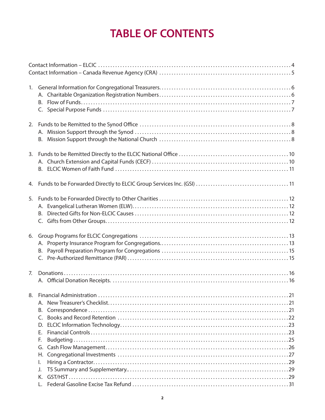## **TABLE OF CONTENTS**

| 1. | В.                                                       |
|----|----------------------------------------------------------|
|    |                                                          |
| 3. |                                                          |
|    |                                                          |
| 5. | B.                                                       |
| 6. |                                                          |
| 7. |                                                          |
|    | В.<br>C.<br>D.<br>Е.<br>F.<br>G.<br>Н.<br>I.<br>J.<br>Κ. |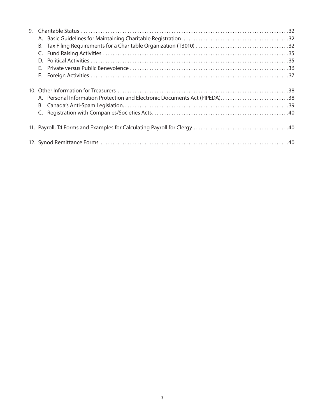| 9. |                                                                            |  |
|----|----------------------------------------------------------------------------|--|
|    |                                                                            |  |
|    |                                                                            |  |
|    |                                                                            |  |
|    |                                                                            |  |
|    |                                                                            |  |
|    | F.                                                                         |  |
|    |                                                                            |  |
|    | A. Personal Information Protection and Electronic Documents Act (PIPEDA)38 |  |
|    |                                                                            |  |
|    |                                                                            |  |
|    |                                                                            |  |
|    |                                                                            |  |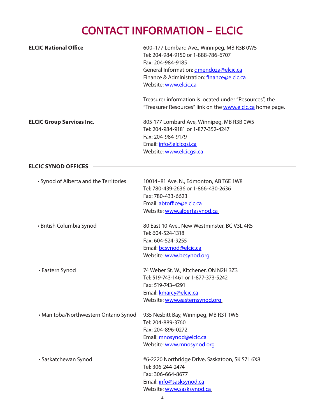## **CONTACT INFORMATION – ELCIC**

| <b>ELCIC National Office</b>           | 600-177 Lombard Ave., Winnipeg, MB R3B 0W5<br>Tel: 204-984-9150 or 1-888-786-6707<br>Fax: 204-984-9185<br>General Information: dmendoza@elcic.ca<br>Finance & Administration: finance@elcic.ca<br>Website: www.elcic.ca |  |  |
|----------------------------------------|-------------------------------------------------------------------------------------------------------------------------------------------------------------------------------------------------------------------------|--|--|
|                                        | Treasurer information is located under "Resources", the<br>"Treasurer Resources" link on the www.elcic.ca home page.                                                                                                    |  |  |
| <b>ELCIC Group Services Inc.</b>       | 805-177 Lombard Ave, Winnipeg, MB R3B 0W5<br>Tel: 204-984-9181 or 1-877-352-4247<br>Fax: 204-984-9179<br>Email: info@elcicgsi.ca<br>Website: www.elcicqsi.ca                                                            |  |  |
| <b>ELCIC SYNOD OFFICES</b>             |                                                                                                                                                                                                                         |  |  |
| • Synod of Alberta and the Territories | 10014-81 Ave. N., Edmonton, AB T6E 1W8<br>Tel: 780-439-2636 or 1-866-430-2636<br>Fax: 780-433-6623<br>Email: abtoffice@elcic.ca<br>Website: www.albertasynod.ca                                                         |  |  |
| • British Columbia Synod               | 80 East 10 Ave., New Westminster, BC V3L 4R5<br>Tel: 604-524-1318<br>Fax: 604-524-9255<br>Email: bcsynod@elcic.ca<br>Website: www.bcsynod.org                                                                           |  |  |
| • Eastern Synod                        | 74 Weber St. W., Kitchener, ON N2H 3Z3<br>Tel: 519-743-1461 or 1-877-373-5242<br>Fax: 519-743-4291<br>Email: kmarcy@elcic.ca<br>Website: www.easternsynod.org                                                           |  |  |
| • Manitoba/Northwestern Ontario Synod  | 935 Nesbitt Bay, Winnipeg, MB R3T 1W6<br>Tel: 204-889-3760<br>Fax: 204-896-0272<br>Email: mnosynod@elcic.ca<br>Website: www.mnosynod.org                                                                                |  |  |
| • Saskatchewan Synod                   | #6-2220 Northridge Drive, Saskatoon, SK S7L 6X8<br>Tel: 306-244-2474<br>Fax: 306-664-8677<br>Email: info@sasksynod.ca<br>Website: www.sasksynod.ca                                                                      |  |  |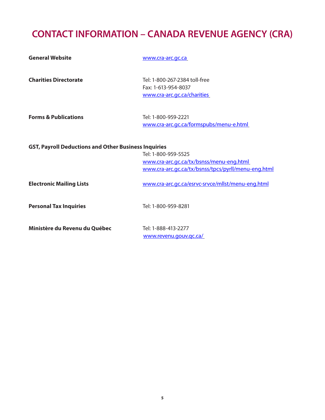## **CONTACT INFORMATION – CANADA REVENUE AGENCY (CRA)**

| <b>General Website</b>                                      | www.cra-arc.gc.ca                                                                                                      |
|-------------------------------------------------------------|------------------------------------------------------------------------------------------------------------------------|
| <b>Charities Directorate</b>                                | Tel: 1-800-267-2384 toll-free<br>Fax: 1-613-954-8037<br>www.cra-arc.gc.ca/charities                                    |
| <b>Forms &amp; Publications</b>                             | Tel: 1-800-959-2221<br>www.cra-arc.gc.ca/formspubs/menu-e.html                                                         |
| <b>GST, Payroll Deductions and Other Business Inquiries</b> | Tel: 1-800-959-5525<br>www.cra-arc.gc.ca/tx/bsnss/menu-eng.html<br>www.cra-arc.gc.ca/tx/bsnss/tpcs/pyrll/menu-eng.html |
| <b>Electronic Mailing Lists</b>                             | www.cra-arc.gc.ca/esrvc-srvce/mllst/menu-eng.html                                                                      |
| <b>Personal Tax Inquiries</b>                               | Tel: 1-800-959-8281                                                                                                    |
| Ministère du Revenu du Québec                               | Tel: 1-888-413-2277<br>www.revenu.gouv.gc.ca/                                                                          |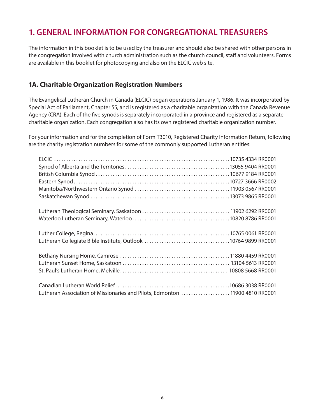## **1. GENERAL INFORMATION FOR CONGREGATIONAL TREASURERS**

The information in this booklet is to be used by the treasurer and should also be shared with other persons in the congregation involved with church administration such as the church council, staff and volunteers. Forms are available in this booklet for photocopying and also on the ELCIC web site.

#### **1A. Charitable Organization Registration Numbers**

The Evangelical Lutheran Church in Canada (ELCIC) began operations January 1, 1986. It was incorporated by Special Act of Parliament, Chapter 55, and is registered as a charitable organization with the Canada Revenue Agency (CRA). Each of the five synods is separately incorporated in a province and registered as a separate charitable organization. Each congregation also has its own registered charitable organization number.

For your information and for the completion of Form T3010, Registered Charity Information Return, following are the charity registration numbers for some of the commonly supported Lutheran entities:

| Lutheran Association of Missionaries and Pilots, Edmonton 11900 4810 RR0001 |  |
|-----------------------------------------------------------------------------|--|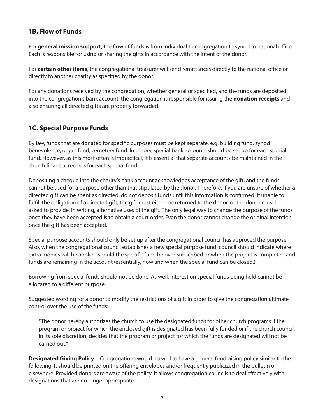#### **1B. Flow of Funds**

For **general mission support**, the flow of funds is from individual to congregation to synod to national office. Each is responsible for using or sharing the gifts in accordance with the intent of the donor.

For **certain other items**, the congregational treasurer will send remittances directly to the national office or directly to another charity as specified by the donor.

For any donations received by the congregation, whether general or specified, and the funds are deposited into the congregation's bank account, the congregation is responsible for issuing the **donation receipts** and also ensuring all directed gifts are properly forwarded.

#### **1C. Special Purpose Funds**

By law, funds that are donated for specific purposes must be kept separate, e.g. building fund, synod benevolence, organ fund, cemetery fund. In theory, special bank accounts should be set up for each special fund. However, as this most often is impractical, it is essential that separate accounts be maintained in the church financial records for each special fund.

Depositing a cheque into the charity's bank account acknowledges acceptance of the gift, and the funds cannot be used for a purpose other than that stipulated by the donor. Therefore, if you are unsure of whether a directed gift can be spent as directed, do not deposit funds until this information is confirmed. If unable to fulfill the obligation of a directed gift, the gift must either be returned to the donor, or the donor must be asked to provide, in writing, alternative uses of the gift. The only legal way to change the purpose of the funds once they have been accepted is to obtain a court order. Even the donor cannot change the original intention once the gift has been accepted.

Special purpose accounts should only be set up after the congregational council has approved the purpose. Also, when the congregational council establishes a new special purpose fund, council should indicate where extra monies will be applied should the specific fund be over-subscribed or when the project is completed and funds are remaining in the account (essentially, how and when the special fund can be closed.)

Borrowing from special funds should not be done. As well, interest on special funds being held cannot be allocated to a different purpose.

Suggested wording for a donor to modify the restrictions of a gift in order to give the congregation ultimate control over the use of the funds:

"The donor hereby authorizes the church to use the designated funds for other church programs if the program or project for which the enclosed gift is designated has been fully funded or if the church council, in its sole discretion, decides that the program or project for which the funds are designated will not be carried out."

**Designated Giving Policy**—Congregations would do well to have a general fundraising policy similar to the following. It should be printed on the offering envelopes and/or frequently publicized in the bulletin or elsewhere. Provided donors are aware of the policy, it allows congregation councils to deal effectively with designations that are no longer appropriate.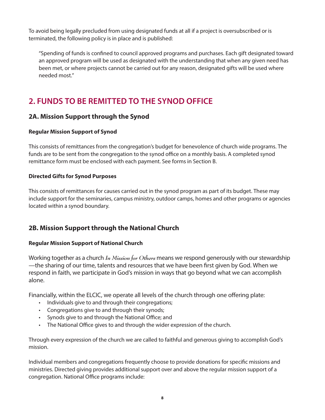To avoid being legally precluded from using designated funds at all if a project is oversubscribed or is terminated, the following policy is in place and is published:

"Spending of funds is confined to council approved programs and purchases. Each gift designated toward an approved program will be used as designated with the understanding that when any given need has been met, or where projects cannot be carried out for any reason, designated gifts will be used where needed most."

## **2. FUNDS TO BE REMITTED TO THE SYNOD OFFICE**

#### **2A. Mission Support through the Synod**

#### **Regular Mission Support of Synod**

This consists of remittances from the congregation's budget for benevolence of church wide programs. The funds are to be sent from the congregation to the synod office on a monthly basis. A completed synod remittance form must be enclosed with each payment. See forms in Section B.

#### **Directed Gifts for Synod Purposes**

This consists of remittances for causes carried out in the synod program as part of its budget. These may include support for the seminaries, campus ministry, outdoor camps, homes and other programs or agencies located within a synod boundary.

#### **2B. Mission Support through the National Church**

#### **Regular Mission Support of National Church**

Working together as a church *In Mission for Others* means we respond generously with our stewardship —the sharing of our time, talents and resources that we have been first given by God. When we respond in faith, we participate in God's mission in ways that go beyond what we can accomplish alone.

Financially, within the ELCIC, we operate all levels of the church through one offering plate:

- Individuals give to and through their congregations;
- Congregations give to and through their synods;
- Synods give to and through the National Office; and
- The National Office gives to and through the wider expression of the church.

Through every expression of the church we are called to faithful and generous giving to accomplish God's mission.

Individual members and congregations frequently choose to provide donations for specific missions and ministries. Directed giving provides additional support over and above the regular mission support of a congregation. National Office programs include: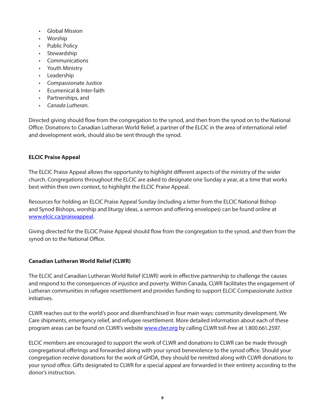- Global Mission
- Worship
- Public Policy
- Stewardship
- Communications
- Youth Ministry
- Leadership
- Compassionate Justice
- Ecumenical & Inter-faith
- Partnerships, and
- *Canada Lutheran*.

Directed giving should flow from the congregation to the synod, and then from the synod on to the National Office. Donations to Canadian Lutheran World Relief, a partner of the ELCIC in the area of international relief and development work, should also be sent through the synod.

#### **ELCIC Praise Appeal**

The ELCIC Praise Appeal allows the opportunity to highlight different aspects of the ministry of the wider church. Congregations throughout the ELCIC are asked to designate one Sunday a year, at a time that works best within their own context, to highlight the ELCIC Praise Appeal.

Resources for holding an ELCIC Praise Appeal Sunday (including a letter from the ELCIC National Bishop and Synod Bishops, worship and liturgy ideas, a sermon and offering envelopes) can be found online at www.elcic.ca/praiseappeal.

Giving directed for the ELCIC Praise Appeal should flow from the congregation to the synod, and then from the synod on to the National Office.

#### **Canadian Lutheran World Relief (CLWR)**

The ELCIC and Canadian Lutheran World Relief (CLWR) work in effective partnership to challenge the causes and respond to the consequences of injustice and poverty. Within Canada, CLWR facilitates the engagement of Lutheran communities in refugee resettlement and provides funding to support ELCIC Compassionate Justice initiatives.

CLWR reaches out to the world's poor and disenfranchised in four main ways: community development, We Care shipments, emergency relief, and refugee resettlement. More detailed information about each of these program areas can be found on CLWR's website www.clwr.org by calling CLWR toll-free at 1.800.661.2597.

ELCIC members are encouraged to support the work of CLWR and donations to CLWR can be made through congregational offerings and forwarded along with your synod benevolence to the synod office. Should your congregation receive donations for the work of GHDA, they should be remitted along with CLWR donations to your synod office. Gifts designated to CLWR for a special appeal are forwarded in their entirety according to the donor's instruction.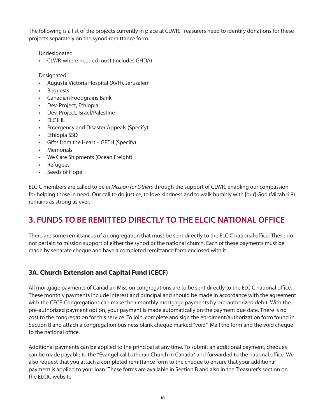The following is a list of the projects currently in place at CLWR. Treasurers need to identify donations for these projects separately on the synod remittance form:

Undesignated

• CLWR-where needed most (includes GHDA)

Designated

- Augusta Victoria Hospital (AVH), Jerusalem
- **Bequests**
- Canadian Foodgrains Bank
- Dev. Project, Ethiopia
- Dev. Project, Israel/Palestine
- ELCJHL
- Emergency and Disaster Appeals (Specify)
- Ethiopia SSD
- Gifts from the Heart GFTH (Specify)
- Memorials
- We Care Shipments (Ocean Freight)
- Refugees
- Seeds of Hope

ELCIC members are called to be *In Mission for Others* through the support of CLWR, enabling our compassion for helping those in need. Our call to do justice, to love kindness and to walk humbly with [our] God (Micah 6:8) remains as strong as ever.

### **3. FUNDS TO BE REMITTED DIRECTLY TO THE ELCIC NATIONAL OFFICE**

There are some remittances of a congregation that must be sent directly to the ELCIC national office. These do not pertain to mission support of either the synod or the national church. Each of these payments must be made by separate cheque and have a completed remittance form enclosed with it.

#### **3A. Church Extension and Capital Fund (CECF)**

All mortgage payments of Canadian Mission congregations are to be sent directly to the ELCIC national office. These monthly payments include interest and principal and should be made in accordance with the agreement with the CECF. Congregations can make their monthly mortgage payments by pre-authorized debit. With the pre-authorized payment option, your payment is made automatically on the payment due date. There is no cost to the congregation for this service. To join, complete and sign the enrolment/authorization form found in Section B and attach a congregation business blank cheque marked "void". Mail the form and the void cheque to the national office.

Additional payments can be applied to the principal at any time. To submit an additional payment, cheques can be made payable to the "Evangelical Lutheran Church in Canada" and forwarded to the national office. We also request that you attach a completed remittance form to the cheque to ensure that your additional payment is applied to your loan. These forms are available in Section B and also in the Treasurer's section on the ELCIC website.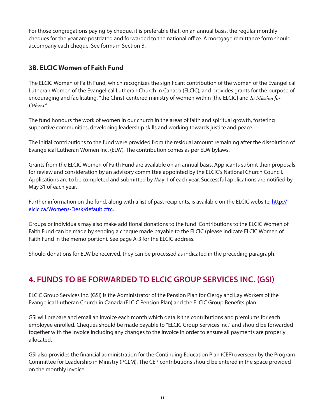For those congregations paying by cheque, it is preferable that, on an annual basis, the regular monthly cheques for the year are postdated and forwarded to the national office. A mortgage remittance form should accompany each cheque. See forms in Section B.

#### **3B. ELCIC Women of Faith Fund**

The ELCIC Women of Faith Fund, which recognizes the significant contribution of the women of the Evangelical Lutheran Women of the Evangelical Lutheran Church in Canada (ELCIC), and provides grants for the purpose of encouraging and facilitating, "the Christ-centered ministry of women within [the ELCIC] and *In Mission for Others*."

The fund honours the work of women in our church in the areas of faith and spiritual growth, fostering supportive communities, developing leadership skills and working towards justice and peace.

The initial contributions to the fund were provided from the residual amount remaining after the dissolution of Evangelical Lutheran Women Inc. (ELW). The contribution comes as per ELW bylaws.

Grants from the ELCIC Women of Faith Fund are available on an annual basis. Applicants submit their proposals for review and consideration by an advisory committee appointed by the ELCIC's National Church Council. Applications are to be completed and submitted by May 1 of each year. Successful applications are notified by May 31 of each year.

Further information on the fund, along with a list of past recipients, is available on the ELCIC website: http:// elcic.ca/Womens-Desk/default.cfm.

Groups or individuals may also make additional donations to the fund. Contributions to the ELCIC Women of Faith Fund can be made by sending a cheque made payable to the ELCIC (please indicate ELCIC Women of Faith Fund in the memo portion). See page A-3 for the ELCIC address.

Should donations for ELW be received, they can be processed as indicated in the preceding paragraph.

## **4. FUNDS TO BE FORWARDED TO ELCIC GROUP SERVICES INC. (GSI)**

ELCIC Group Services Inc. (GSI) is the Administrator of the Pension Plan for Clergy and Lay Workers of the Evangelical Lutheran Church in Canada (ELCIC Pension Plan) and the ELCIC Group Benefits plan.

GSI will prepare and email an invoice each month which details the contributions and premiums for each employee enrolled. Cheques should be made payable to "ELCIC Group Services Inc." and should be forwarded together with the invoice including any changes to the invoice in order to ensure all payments are properly allocated.

GSI also provides the financial administration for the Continuing Education Plan (CEP) overseen by the Program Committee for Leadership in Ministry (PCLM). The CEP contributions should be entered in the space provided on the monthly invoice.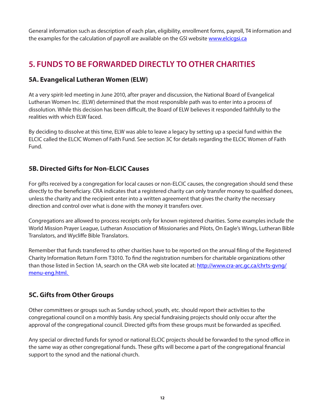General information such as description of each plan, eligibility, enrollment forms, payroll, T4 information and the examples for the calculation of payroll are available on the GSI website www.elcicgsi.ca

## **5. FUNDS TO BE FORWARDED DIRECTLY TO OTHER CHARITIES**

#### **5A. Evangelical Lutheran Women (ELW)**

At a very spirit-led meeting in June 2010, after prayer and discussion, the National Board of Evangelical Lutheran Women Inc. (ELW) determined that the most responsible path was to enter into a process of dissolution. While this decision has been difficult, the Board of ELW believes it responded faithfully to the realities with which ELW faced.

By deciding to dissolve at this time, ELW was able to leave a legacy by setting up a special fund within the ELCIC called the ELCIC Women of Faith Fund. See section 3C for details regarding the ELCIC Women of Faith Fund.

#### **5B. Directed Gifts for Non-ELCIC Causes**

For gifts received by a congregation for local causes or non-ELCIC causes, the congregation should send these directly to the beneficiary. CRA indicates that a registered charity can only transfer money to qualified donees, unless the charity and the recipient enter into a written agreement that gives the charity the necessary direction and control over what is done with the money it transfers over.

Congregations are allowed to process receipts only for known registered charities. Some examples include the World Mission Prayer League, Lutheran Association of Missionaries and Pilots, On Eagle's Wings, Lutheran Bible Translators, and Wycliffe Bible Translators.

Remember that funds transferred to other charities have to be reported on the annual filing of the Registered Charity Information Return Form T3010. To find the registration numbers for charitable organizations other than those listed in Section 1A, search on the CRA web site located at: http://www.cra-arc.gc.ca/chrts-gyng/ menu-eng.html.

#### **5C. Gifts from Other Groups**

Other committees or groups such as Sunday school, youth, etc. should report their activities to the congregational council on a monthly basis. Any special fundraising projects should only occur after the approval of the congregational council. Directed gifts from these groups must be forwarded as specified.

Any special or directed funds for synod or national ELCIC projects should be forwarded to the synod office in the same way as other congregational funds. These gifts will become a part of the congregational financial support to the synod and the national church.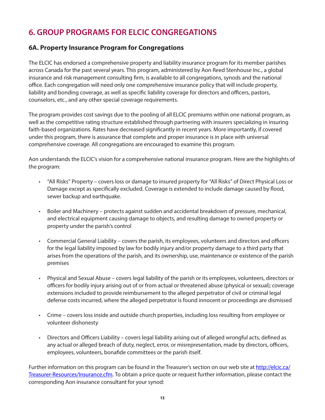## **6. GROUP PROGRAMS FOR ELCIC CONGREGATIONS**

#### **6A. Property Insurance Program for Congregations**

The ELCIC has endorsed a comprehensive property and liability insurance program for its member parishes across Canada for the past several years. This program, administered by Aon Reed Stenhouse Inc., a global insurance and risk management consulting firm, is available to all congregations, synods and the national office. Each congregation will need only one comprehensive insurance policy that will include property, liability and bonding coverage, as well as specific liability coverage for directors and officers, pastors, counselors, etc., and any other special coverage requirements.

The program provides cost savings due to the pooling of all ELCIC premiums within one national program, as well as the competitive rating structure established through partnering with insurers specializing in insuring faith-based organizations. Rates have decreased significantly in recent years. More importantly, if covered under this program, there is assurance that complete and proper insurance is in place with universal comprehensive coverage. All congregations are encouraged to examine this program.

Aon understands the ELCIC's vision for a comprehensive national insurance program. Here are the highlights of the program:

- "All Risks" Property covers loss or damage to insured property for "All Risks" of Direct Physical Loss or Damage except as specifically excluded. Coverage is extended to include damage caused by flood, sewer backup and earthquake.
- Boiler and Machinery protects against sudden and accidental breakdown of pressure, mechanical, and electrical equipment causing damage to objects, and resulting damage to owned property or property under the parish's control
- Commercial General Liability covers the parish, its employees, volunteers and directors and officers for the legal liability imposed by law for bodily injury and/or property damage to a third party that arises from the operations of the parish, and its ownership, use, maintenance or existence of the parish premises
- Physical and Sexual Abuse covers legal liability of the parish or its employees, volunteers, directors or officers for bodily injury arising out of or from actual or threatened abuse (physical or sexual); coverage extensions included to provide reimbursement to the alleged perpetrator of civil or criminal legal defense costs incurred, where the alleged perpetrator is found innocent or proceedings are dismissed
- Crime covers loss inside and outside church properties, including loss resulting from employee or volunteer dishonesty
- Directors and Officers Liability covers legal liability arising out of alleged wrongful acts, defined as any actual or alleged breach of duty, neglect, error, or misrepresentation, made by directors, officers, employees, volunteers, bonafide committees or the parish itself.

Further information on this program can be found in the Treasurer's section on our web site at http://elcic.ca/ Treasurer-Resources/Insurance.cfm. To obtain a price quote or request further information, please contact the corresponding Aon insurance consultant for your synod: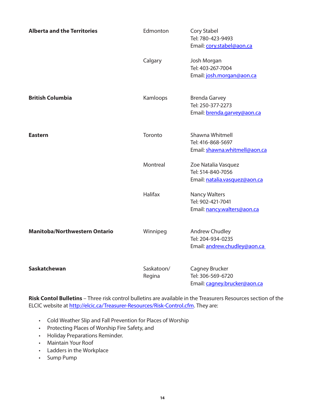| <b>Alberta and the Territories</b>   | Edmonton             | Cory Stabel<br>Tel: 780-423-9493<br>Email: cory.stabel@aon.ca              |
|--------------------------------------|----------------------|----------------------------------------------------------------------------|
|                                      | Calgary              | Josh Morgan<br>Tel: 403-267-7004<br>Email: josh.morgan@aon.ca              |
| <b>British Columbia</b>              | Kamloops             | <b>Brenda Garvey</b><br>Tel: 250-377-2273<br>Email: brenda.garvey@aon.ca   |
| Eastern                              | Toronto              | Shawna Whitmell<br>Tel: 416-868-5697<br>Email: shawna.whitmell@aon.ca      |
|                                      | Montreal             | Zoe Natalia Vasquez<br>Tel: 514-840-7056<br>Email: natalia.vasquez@aon.ca  |
|                                      | Halifax              | <b>Nancy Walters</b><br>Tel: 902-421-7041<br>Email: nancy.walters@aon.ca   |
| <b>Manitoba/Northwestern Ontario</b> | Winnipeg             | <b>Andrew Chudley</b><br>Tel: 204-934-0235<br>Email: andrew.chudley@aon.ca |
| Saskatchewan                         | Saskatoon/<br>Regina | Cagney Brucker<br>Tel: 306-569-6720<br>Email: cagney.brucker@aon.ca        |

**Risk Contol Bulletins** – Three risk control bulletins are available in the Treasurers Resources section of the ELCIC website at http://elcic.ca/Treasurer-Resources/Risk-Control.cfm. They are:

- Cold Weather Slip and Fall Prevention for Places of Worship
- Protecting Places of Worship Fire Safety, and
- Holiday Preparations Reminder.
- Maintain Your Roof
- Ladders in the Workplace
- Sump Pump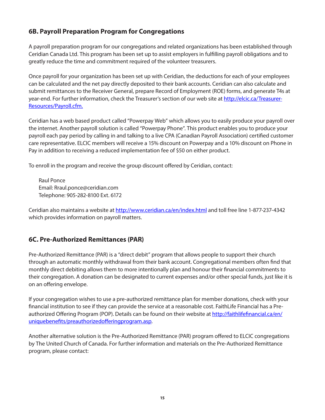#### **6B. Payroll Preparation Program for Congregations**

A payroll preparation program for our congregations and related organizations has been established through Ceridian Canada Ltd. This program has been set up to assist employers in fulfilling payroll obligations and to greatly reduce the time and commitment required of the volunteer treasurers.

Once payroll for your organization has been set up with Ceridian, the deductions for each of your employees can be calculated and the net pay directly deposited to their bank accounts. Ceridian can also calculate and submit remittances to the Receiver General, prepare Record of Employment (ROE) forms, and generate T4s at year-end. For further information, check the Treasurer's section of our web site at http://elcic.ca/Treasurer-Resources/Payroll.cfm.

Ceridian has a web based product called "Powerpay Web" which allows you to easily produce your payroll over the internet. Another payroll solution is called "Powerpay Phone". This product enables you to produce your payroll each pay period by calling in and talking to a live CPA (Canadian Payroll Association) certified customer care representative. ELCIC members will receive a 15% discount on Powerpay and a 10% discount on Phone in Pay in addition to receiving a reduced implementation fee of \$50 on either product.

To enroll in the program and receive the group discount offered by Ceridian, contact:

Raul Ponce Email: Rraul.ponce@ceridian.com Telephone: 905-282-8100 Ext. 6172

Ceridian also maintains a website at http://www.ceridian.ca/en/index.html and toll free line 1-877-237-4342 which provides information on payroll matters.

#### **6C. Pre-Authorized Remittances (PAR)**

Pre-Authorized Remittance (PAR) is a "direct debit" program that allows people to support their church through an automatic monthly withdrawal from their bank account. Congregational members often find that monthly direct debiting allows them to more intentionally plan and honour their financial commitments to their congregation. A donation can be designated to current expenses and/or other special funds, just like it is on an offering envelope.

If your congregation wishes to use a pre-authorized remittance plan for member donations, check with your financial institution to see if they can provide the service at a reasonable cost. FaithLife Financial has a Preauthorized Offering Program (POP). Details can be found on their website at http://faithlifefinancial.ca/en/ uniquebenefits/preauthorizedofferingprogram.asp.

Another alternative solution is the Pre-Authorized Remittance (PAR) program offered to ELCIC congregations by The United Church of Canada. For further information and materials on the Pre-Authorized Remittance program, please contact: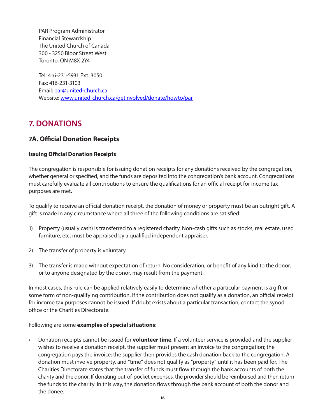PAR Program Administrator Financial Stewardship The United Church of Canada 300 - 3250 Bloor Street West Toronto, ON M8X 2Y4

Tel: 416-231-5931 Ext. 3050 Fax: 416-231-3103 Email: par@united-church.ca Website: www.united-church.ca/getinvolved/donate/howto/par

### **7. DONATIONS**

#### **7A. Official Donation Receipts**

#### **Issuing Official Donation Receipts**

The congregation is responsible for issuing donation receipts for any donations received by the congregation, whether general or specified, and the funds are deposited into the congregation's bank account. Congregations must carefully evaluate all contributions to ensure the qualifications for an official receipt for income tax purposes are met.

To qualify to receive an official donation receipt, the donation of money or property must be an outright gift. A gift is made in any circumstance where all three of the following conditions are satisfied:

- 1) Property (usually cash) is transferred to a registered charity. Non-cash gifts such as stocks, real estate, used furniture, etc, must be appraised by a qualified independent appraiser.
- 2) The transfer of property is voluntary.
- 3) The transfer is made without expectation of return. No consideration, or benefit of any kind to the donor, or to anyone designated by the donor, may result from the payment.

In most cases, this rule can be applied relatively easily to determine whether a particular payment is a gift or some form of non-qualifying contribution. If the contribution does not qualify as a donation, an official receipt for income tax purposes cannot be issued. If doubt exists about a particular transaction, contact the synod office or the Charities Directorate.

#### Following are some **examples of special situations**:

• Donation receipts cannot be issued for **volunteer time**. If a volunteer service is provided and the supplier wishes to receive a donation receipt, the supplier must present an invoice to the congregation; the congregation pays the invoice; the supplier then provides the cash donation back to the congregation. A donation must involve property, and "time" does not qualify as "property" until it has been paid for. The Charities Directorate states that the transfer of funds must flow through the bank accounts of both the charity and the donor. If donating out-of-pocket expenses, the provider should be reimbursed and then return the funds to the charity. In this way, the donation flows through the bank account of both the donor and the donee.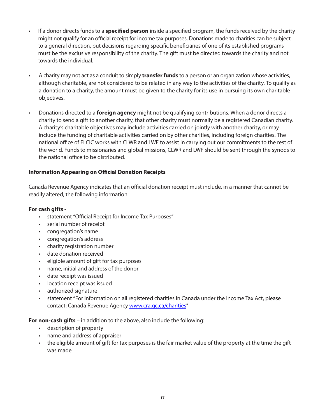- If a donor directs funds to a **specified person** inside a specified program, the funds received by the charity might not qualify for an official receipt for income tax purposes. Donations made to charities can be subject to a general direction, but decisions regarding specific beneficiaries of one of its established programs must be the exclusive responsibility of the charity. The gift must be directed towards the charity and not towards the individual.
- A charity may not act as a conduit to simply **transfer funds** to a person or an organization whose activities, although charitable, are not considered to be related in any way to the activities of the charity. To qualify as a donation to a charity, the amount must be given to the charity for its use in pursuing its own charitable objectives.
- Donations directed to a **foreign agency** might not be qualifying contributions. When a donor directs a charity to send a gift to another charity, that other charity must normally be a registered Canadian charity. A charity's charitable objectives may include activities carried on jointly with another charity, or may include the funding of charitable activities carried on by other charities, including foreign charities. The national office of ELCIC works with CLWR and LWF to assist in carrying out our commitments to the rest of the world. Funds to missionaries and global missions, CLWR and LWF should be sent through the synods to the national office to be distributed.

#### **Information Appearing on Official Donation Receipts**

Canada Revenue Agency indicates that an official donation receipt must include, in a manner that cannot be readily altered, the following information:

#### **For cash gifts -**

- statement "Official Receipt for Income Tax Purposes"
- serial number of receipt
- congregation's name
- congregation's address
- charity registration number
- date donation received
- eligible amount of gift for tax purposes
- name, initial and address of the donor
- date receipt was issued
- location receipt was issued
- authorized signature
- statement "For information on all registered charities in Canada under the Income Tax Act, please contact: Canada Revenue Agency www.cra.gc.ca/charities"

**For non-cash gifts** – in addition to the above, also include the following:

- description of property
- name and address of appraiser
- the eligible amount of gift for tax purposes is the fair market value of the property at the time the gift was made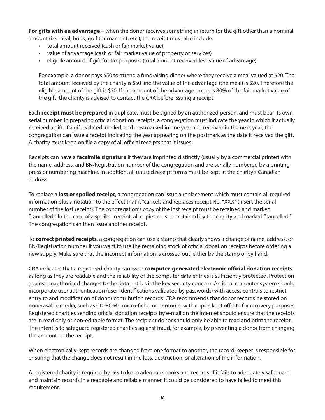**For gifts with an advantage** – when the donor receives something in return for the gift other than a nominal amount (i.e. meal, book, golf tournament, etc.), the receipt must also include:

- total amount received (cash or fair market value)
- value of advantage (cash or fair market value of property or services)
- eligible amount of gift for tax purposes (total amount received less value of advantage)

For example, a donor pays \$50 to attend a fundraising dinner where they receive a meal valued at \$20. The total amount received by the charity is \$50 and the value of the advantage (the meal) is \$20. Therefore the eligible amount of the gift is \$30. If the amount of the advantage exceeds 80% of the fair market value of the gift, the charity is advised to contact the CRA before issuing a receipt.

Each **receipt must be prepared** in duplicate, must be signed by an authorized person, and must bear its own serial number. In preparing official donation receipts, a congregation must indicate the year in which it actually received a gift. If a gift is dated, mailed, and postmarked in one year and received in the next year, the congregation can issue a receipt indicating the year appearing on the postmark as the date it received the gift. A charity must keep on file a copy of all official receipts that it issues.

Receipts can have a **facsimile signature** if they are imprinted distinctly (usually by a commercial printer) with the name, address, and BN/Registration number of the congregation and are serially numbered by a printing press or numbering machine. In addition, all unused receipt forms must be kept at the charity's Canadian address.

To replace a **lost or spoiled receipt**, a congregation can issue a replacement which must contain all required information plus a notation to the effect that it "cancels and replaces receipt No. "XXX" (insert the serial number of the lost receipt). The congregation's copy of the lost receipt must be retained and marked "cancelled." In the case of a spoiled receipt, all copies must be retained by the charity and marked "cancelled." The congregation can then issue another receipt.

To **correct printed receipts**, a congregation can use a stamp that clearly shows a change of name, address, or BN/Registration number if you want to use the remaining stock of official donation receipts before ordering a new supply. Make sure that the incorrect information is crossed out, either by the stamp or by hand.

CRA indicates that a registered charity can issue **computer-generated electronic official donation receipts** as long as they are readable and the reliability of the computer data entries is sufficiently protected. Protection against unauthorized changes to the data entries is the key security concern. An ideal computer system should incorporate user authentication (user-identifications validated by passwords) with access controls to restrict entry to and modification of donor contribution records. CRA recommends that donor records be stored on nonerasable media, such as CD-ROMs, micro-fiche, or printouts, with copies kept off-site for recovery purposes. Registered charities sending official donation receipts by e-mail on the Internet should ensure that the receipts are in read only or non-editable format. The recipient donor should only be able to read and print the receipt. The intent is to safeguard registered charities against fraud, for example, by preventing a donor from changing the amount on the receipt.

When electronically-kept records are changed from one format to another, the record-keeper is responsible for ensuring that the change does not result in the loss, destruction, or alteration of the information.

A registered charity is required by law to keep adequate books and records. If it fails to adequately safeguard and maintain records in a readable and reliable manner, it could be considered to have failed to meet this requirement.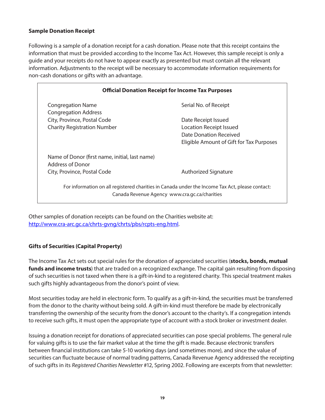#### **Sample Donation Receipt**

Following is a sample of a donation receipt for a cash donation. Please note that this receipt contains the information that must be provided according to the Income Tax Act. However, this sample receipt is only a guide and your receipts do not have to appear exactly as presented but must contain all the relevant information. Adjustments to the receipt will be necessary to accommodate information requirements for non-cash donations or gifts with an advantage.

| <b>Official Donation Receipt for Income Tax Purposes</b>                                                                                         |                                          |  |  |
|--------------------------------------------------------------------------------------------------------------------------------------------------|------------------------------------------|--|--|
| <b>Congregation Name</b>                                                                                                                         | Serial No. of Receipt                    |  |  |
| <b>Congregation Address</b>                                                                                                                      |                                          |  |  |
| City, Province, Postal Code                                                                                                                      | Date Receipt Issued                      |  |  |
| <b>Charity Registration Number</b>                                                                                                               | <b>Location Receipt Issued</b>           |  |  |
|                                                                                                                                                  | Date Donation Received                   |  |  |
|                                                                                                                                                  | Eligible Amount of Gift for Tax Purposes |  |  |
| Name of Donor (first name, initial, last name)<br>Address of Donor                                                                               |                                          |  |  |
| City, Province, Postal Code                                                                                                                      | <b>Authorized Signature</b>              |  |  |
| For information on all registered charities in Canada under the Income Tax Act, please contact:<br>Canada Revenue Agency www.cra.gc.ca/charities |                                          |  |  |

Other samples of donation receipts can be found on the Charities website at: http://www.cra-arc.gc.ca/chrts-gvng/chrts/pbs/rcpts-eng.html.

#### **Gifts of Securities (Capital Property)**

The Income Tax Act sets out special rules for the donation of appreciated securities (**stocks, bonds, mutual funds and income trusts**) that are traded on a recognized exchange. The capital gain resulting from disposing of such securities is not taxed when there is a gift-in-kind to a registered charity. This special treatment makes such gifts highly advantageous from the donor's point of view.

Most securities today are held in electronic form. To qualify as a gift-in-kind, the securities must be transferred from the donor to the charity without being sold. A gift-in-kind must therefore be made by electronically transferring the ownership of the security from the donor's account to the charity's. If a congregation intends to receive such gifts, it must open the appropriate type of account with a stock broker or investment dealer.

Issuing a donation receipt for donations of appreciated securities can pose special problems. The general rule for valuing gifts is to use the fair market value at the time the gift is made. Because electronic transfers between financial institutions can take 5-10 working days (and sometimes more), and since the value of securities can fluctuate because of normal trading patterns, Canada Revenue Agency addressed the receipting of such gifts in its *Registered Charities Newsletter* #12, Spring 2002. Following are excerpts from that newsletter: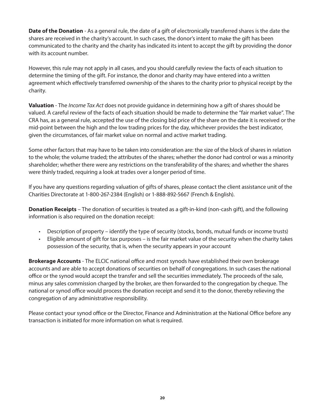**Date of the Donation** - As a general rule, the date of a gift of electronically transferred shares is the date the shares are received in the charity's account. In such cases, the donor's intent to make the gift has been communicated to the charity and the charity has indicated its intent to accept the gift by providing the donor with its account number.

However, this rule may not apply in all cases, and you should carefully review the facts of each situation to determine the timing of the gift. For instance, the donor and charity may have entered into a written agreement which effectively transferred ownership of the shares to the charity prior to physical receipt by the charity.

**Valuation** - The *Income Tax Act* does not provide guidance in determining how a gift of shares should be valued. A careful review of the facts of each situation should be made to determine the "fair market value". The CRA has, as a general rule, accepted the use of the closing bid price of the share on the date it is received or the mid-point between the high and the low trading prices for the day, whichever provides the best indicator, given the circumstances, of fair market value on normal and active market trading.

Some other factors that may have to be taken into consideration are: the size of the block of shares in relation to the whole; the volume traded; the attributes of the shares; whether the donor had control or was a minority shareholder; whether there were any restrictions on the transferability of the shares; and whether the shares were thinly traded, requiring a look at trades over a longer period of time.

If you have any questions regarding valuation of gifts of shares, please contact the client assistance unit of the Charities Directorate at 1-800-267-2384 (English) or 1-888-892-5667 (French & English).

**Donation Receipts** – The donation of securities is treated as a gift-in-kind (non-cash gift), and the following information is also required on the donation receipt:

- Description of property identify the type of security (stocks, bonds, mutual funds or income trusts)
- Eligible amount of gift for tax purposes is the fair market value of the security when the charity takes possession of the security, that is, when the security appears in your account

**Brokerage Accounts** - The ELCIC national office and most synods have established their own brokerage accounts and are able to accept donations of securities on behalf of congregations. In such cases the national office or the synod would accept the transfer and sell the securities immediately. The proceeds of the sale, minus any sales commission charged by the broker, are then forwarded to the congregation by cheque. The national or synod office would process the donation receipt and send it to the donor, thereby relieving the congregation of any administrative responsibility.

Please contact your synod office or the Director, Finance and Administration at the National Office before any transaction is initiated for more information on what is required.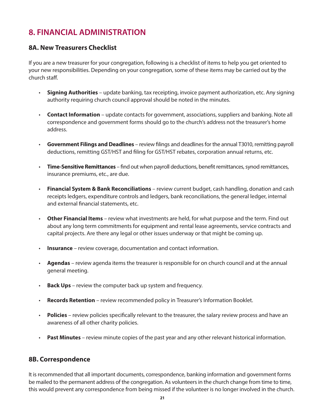## **8. FINANCIAL ADMINISTRATION**

#### **8A. New Treasurers Checklist**

If you are a new treasurer for your congregation, following is a checklist of items to help you get oriented to your new responsibilities. Depending on your congregation, some of these items may be carried out by the church staff.

- **Signing Authorities** update banking, tax receipting, invoice payment authorization, etc. Any signing authority requiring church council approval should be noted in the minutes.
- **Contact Information** update contacts for government, associations, suppliers and banking. Note all correspondence and government forms should go to the church's address not the treasurer's home address.
- **Government Filings and Deadlines** review filings and deadlines for the annual T3010, remitting payroll deductions, remitting GST/HST and filing for GST/HST rebates, corporation annual returns, etc.
- **Time-Sensitive Remittances** find out when payroll deductions, benefit remittances, synod remittances, insurance premiums, etc., are due.
- **Financial System & Bank Reconciliations** review current budget, cash handling, donation and cash receipts ledgers, expenditure controls and ledgers, bank reconciliations, the general ledger, internal and external financial statements, etc.
- **Other Financial Items** review what investments are held, for what purpose and the term. Find out about any long term commitments for equipment and rental lease agreements, service contracts and capital projects. Are there any legal or other issues underway or that might be coming up.
- **Insurance** review coverage, documentation and contact information.
- **Agendas** review agenda items the treasurer is responsible for on church council and at the annual general meeting.
- **Back Ups** review the computer back up system and frequency.
- **Records Retention** review recommended policy in Treasurer's Information Booklet.
- **Policies** review policies specifically relevant to the treasurer, the salary review process and have an awareness of all other charity policies.
- **Past Minutes** review minute copies of the past year and any other relevant historical information.

#### **8B. Correspondence**

It is recommended that all important documents, correspondence, banking information and government forms be mailed to the permanent address of the congregation. As volunteers in the church change from time to time, this would prevent any correspondence from being missed if the volunteer is no longer involved in the church.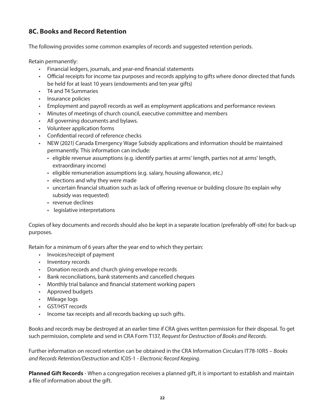#### **8C. Books and Record Retention**

The following provides some common examples of records and suggested retention periods.

Retain permanently:

- Financial ledgers, journals, and year-end financial statements
- Official receipts for income tax purposes and records applying to gifts where donor directed that funds be held for at least 10 years (endowments and ten year gifts)
- T4 and T4 Summaries
- Insurance policies
- Employment and payroll records as well as employment applications and performance reviews
- Minutes of meetings of church council, executive committee and members
- All governing documents and bylaws.
- Volunteer application forms
- Confidential record of reference checks
- NEW (2021) Canada Emergency Wage Subsidy applications and information should be maintained permanently. This information can include:
	- eligible revenue assumptions (e.g. identify parties at arms' length, parties not at arms' length, extraordinary income)
	- eligible remuneration assumptions (e.g. salary, housing allowance, etc.)
	- elections and why they were made
	- uncertain financial situation such as lack of offering revenue or building closure (to explain why subsidy was requested)
	- revenue declines
	- legislative interpretations

Copies of key documents and records should also be kept in a separate location (preferably off-site) for back-up purposes.

Retain for a minimum of 6 years after the year end to which they pertain:

- Invoices/receipt of payment
- Inventory records
- Donation records and church giving envelope records
- Bank reconciliations, bank statements and cancelled cheques
- Monthly trial balance and financial statement working papers
- Approved budgets
- Mileage logs
- GST/HST records
- Income tax receipts and all records backing up such gifts.

Books and records may be destroyed at an earlier time if CRA gives written permission for their disposal. To get such permission, complete and send in CRA Form T137, *Request for Destruction of Books and Records.*

Further information on record retention can be obtained in the CRA Information Circulars IT78-10R5 – *Books and Records Retention/Destruction* and IC05-1 - *Electronic Record Keeping*.

**Planned Gift Records** - When a congregation receives a planned gift, it is important to establish and maintain a file of information about the gift.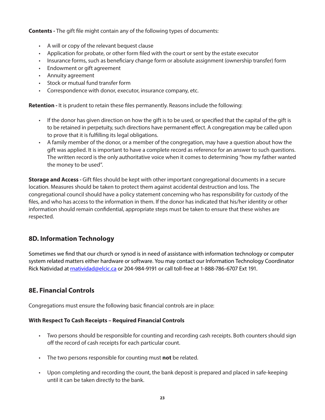**Contents** *-* The gift file might contain any of the following types of documents:

- A will or copy of the relevant bequest clause
- Application for probate, or other form filed with the court or sent by the estate executor
- Insurance forms, such as beneficiary change form or absolute assignment (ownership transfer) form
- Endowment or gift agreement
- Annuity agreement
- Stock or mutual fund transfer form
- Correspondence with donor, executor, insurance company, etc.

**Retention** *-* It is prudent to retain these files permanently. Reasons include the following:

- If the donor has given direction on how the gift is to be used, or specified that the capital of the gift is to be retained in perpetuity, such directions have permanent effect. A congregation may be called upon to prove that it is fulfilling its legal obligations.
- A family member of the donor, or a member of the congregation, may have a question about how the gift was applied. It is important to have a complete record as reference for an answer to such questions. The written record is the only authoritative voice when it comes to determining "how my father wanted the money to be used".

**Storage and Access** *-* Gift files should be kept with other important congregational documents in a secure location. Measures should be taken to protect them against accidental destruction and loss. The congregational council should have a policy statement concerning who has responsibility for custody of the files, and who has access to the information in them. If the donor has indicated that his/her identity or other information should remain confidential, appropriate steps must be taken to ensure that these wishes are respected.

#### **8D. Information Technology**

Sometimes we find that our church or synod is in need of assistance with information technology or computer system related matters either hardware or software. You may contact our Information Technology Coordinator Rick Natividad at **matividad@elcic.ca** or 204-984-9191 or call toll-free at 1-888-786-6707 Ext 191.

#### **8E. Financial Controls**

Congregations must ensure the following basic financial controls are in place:

#### **With Respect To Cash Receipts – Required Financial Controls**

- Two persons should be responsible for counting and recording cash receipts. Both counters should sign off the record of cash receipts for each particular count.
- The two persons responsible for counting must **not** be related.
- Upon completing and recording the count, the bank deposit is prepared and placed in safe-keeping until it can be taken directly to the bank.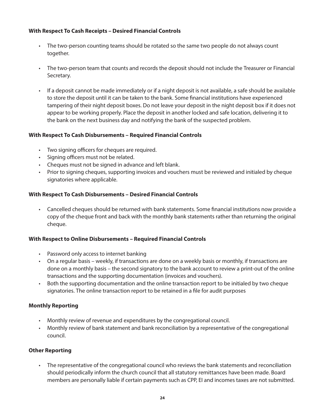#### **With Respect To Cash Receipts – Desired Financial Controls**

- The two-person counting teams should be rotated so the same two people do not always count together.
- The two-person team that counts and records the deposit should not include the Treasurer or Financial Secretary.
- If a deposit cannot be made immediately or if a night deposit is not available, a safe should be available to store the deposit until it can be taken to the bank. Some financial institutions have experienced tampering of their night deposit boxes. Do not leave your deposit in the night deposit box if it does not appear to be working properly. Place the deposit in another locked and safe location, delivering it to the bank on the next business day and notifying the bank of the suspected problem.

#### **With Respect To Cash Disbursements – Required Financial Controls**

- Two signing officers for cheques are required.
- Signing officers must not be related.
- Cheques must not be signed in advance and left blank.
- Prior to signing cheques, supporting invoices and vouchers must be reviewed and initialed by cheque signatories where applicable.

#### **With Respect To Cash Disbursements – Desired Financial Controls**

• Cancelled cheques should be returned with bank statements. Some financial institutions now provide a copy of the cheque front and back with the monthly bank statements rather than returning the original cheque.

#### **With Respect to Online Disbursements – Required Financial Controls**

- Password only access to internet banking
- On a regular basis weekly, if transactions are done on a weekly basis or monthly, if transactions are done on a monthly basis – the second signatory to the bank account to review a print-out of the online transactions and the supporting documentation (invoices and vouchers).
- Both the supporting documentation and the online transaction report to be initialed by two cheque signatories. The online transaction report to be retained in a file for audit purposes

#### **Monthly Reporting**

- Monthly review of revenue and expenditures by the congregational council.
- Monthly review of bank statement and bank reconciliation by a representative of the congregational council.

#### **Other Reporting**

• The representative of the congregational council who reviews the bank statements and reconciliation should periodically inform the church council that all statutory remittances have been made. Board members are personally liable if certain payments such as CPP, EI and incomes taxes are not submitted.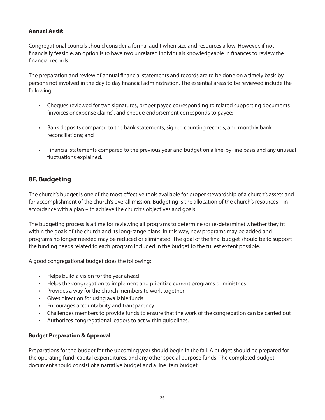#### **Annual Audit**

Congregational councils should consider a formal audit when size and resources allow. However, if not financially feasible, an option is to have two unrelated individuals knowledgeable in finances to review the financial records.

The preparation and review of annual financial statements and records are to be done on a timely basis by persons not involved in the day to day financial administration. The essential areas to be reviewed include the following:

- Cheques reviewed for two signatures, proper payee corresponding to related supporting documents (invoices or expense claims), and cheque endorsement corresponds to payee;
- Bank deposits compared to the bank statements, signed counting records, and monthly bank reconciliations; and
- Financial statements compared to the previous year and budget on a line-by-line basis and any unusual fluctuations explained.

#### **8F. Budgeting**

The church's budget is one of the most effective tools available for proper stewardship of a church's assets and for accomplishment of the church's overall mission. Budgeting is the allocation of the church's resources – in accordance with a plan – to achieve the church's objectives and goals.

The budgeting process is a time for reviewing all programs to determine (or re-determine) whether they fit within the goals of the church and its long-range plans. In this way, new programs may be added and programs no longer needed may be reduced or eliminated. The goal of the final budget should be to support the funding needs related to each program included in the budget to the fullest extent possible.

A good congregational budget does the following:

- Helps build a vision for the year ahead
- Helps the congregation to implement and prioritize current programs or ministries
- Provides a way for the church members to work together
- Gives direction for using available funds
- Encourages accountability and transparency
- Challenges members to provide funds to ensure that the work of the congregation can be carried out
- Authorizes congregational leaders to act within guidelines.

#### **Budget Preparation & Approval**

Preparations for the budget for the upcoming year should begin in the fall. A budget should be prepared for the operating fund, capital expenditures, and any other special purpose funds. The completed budget document should consist of a narrative budget and a line item budget.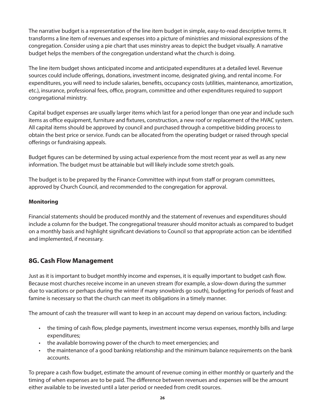The narrative budget is a representation of the line item budget in simple, easy-to-read descriptive terms. It transforms a line item of revenues and expenses into a picture of ministries and missional expressions of the congregation. Consider using a pie chart that uses ministry areas to depict the budget visually. A narrative budget helps the members of the congregation understand what the church is doing.

The line item budget shows anticipated income and anticipated expenditures at a detailed level. Revenue sources could include offerings, donations, investment income, designated giving, and rental income. For expenditures, you will need to include salaries, benefits, occupancy costs (utilities, maintenance, amortization, etc.), insurance, professional fees, office, program, committee and other expenditures required to support congregational ministry.

Capital budget expenses are usually larger items which last for a period longer than one year and include such items as office equipment, furniture and fixtures, construction, a new roof or replacement of the HVAC system. All capital items should be approved by council and purchased through a competitive bidding process to obtain the best price or service. Funds can be allocated from the operating budget or raised through special offerings or fundraising appeals.

Budget figures can be determined by using actual experience from the most recent year as well as any new information. The budget must be attainable but will likely include some stretch goals.

The budget is to be prepared by the Finance Committee with input from staff or program committees, approved by Church Council, and recommended to the congregation for approval.

#### **Monitoring**

Financial statements should be produced monthly and the statement of revenues and expenditures should include a column for the budget. The congregational treasurer should monitor actuals as compared to budget on a monthly basis and highlight significant deviations to Council so that appropriate action can be identified and implemented, if necessary.

#### **8G. Cash Flow Management**

Just as it is important to budget monthly income and expenses, it is equally important to budget cash flow. Because most churches receive income in an uneven stream (for example, a slow-down during the summer due to vacations or perhaps during the winter if many snowbirds go south), budgeting for periods of feast and famine is necessary so that the church can meet its obligations in a timely manner.

The amount of cash the treasurer will want to keep in an account may depend on various factors, including:

- the timing of cash flow, pledge payments, investment income versus expenses, monthly bills and large expenditures;
- the available borrowing power of the church to meet emergencies; and
- the maintenance of a good banking relationship and the minimum balance requirements on the bank accounts.

To prepare a cash flow budget, estimate the amount of revenue coming in either monthly or quarterly and the timing of when expenses are to be paid. The difference between revenues and expenses will be the amount either available to be invested until a later period or needed from credit sources.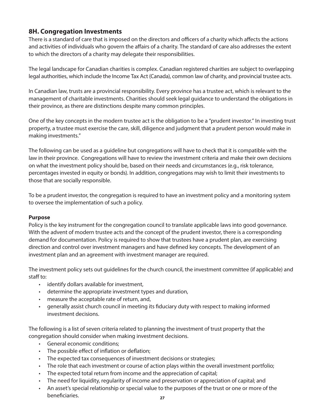#### **8H. Congregation Investments**

There is a standard of care that is imposed on the directors and officers of a charity which affects the actions and activities of individuals who govern the affairs of a charity. The standard of care also addresses the extent to which the directors of a charity may delegate their responsibilities.

The legal landscape for Canadian charities is complex. Canadian registered charities are subject to overlapping legal authorities, which include the Income Tax Act (Canada), common law of charity, and provincial trustee acts.

In Canadian law, trusts are a provincial responsibility. Every province has a trustee act, which is relevant to the management of charitable investments. Charities should seek legal guidance to understand the obligations in their province, as there are distinctions despite many common principles.

One of the key concepts in the modern trustee act is the obligation to be a "prudent investor." In investing trust property, a trustee must exercise the care, skill, diligence and judgment that a prudent person would make in making investments."

The following can be used as a guideline but congregations will have to check that it is compatible with the law in their province. Congregations will have to review the investment criteria and make their own decisions on what the investment policy should be, based on their needs and circumstances (e.g., risk tolerance, percentages invested in equity or bonds). In addition, congregations may wish to limit their investments to those that are socially responsible.

To be a prudent investor, the congregation is required to have an investment policy and a monitoring system to oversee the implementation of such a policy.

#### **Purpose**

Policy is the key instrument for the congregation council to translate applicable laws into good governance. With the advent of modern trustee acts and the concept of the prudent investor, there is a corresponding demand for documentation. Policy is required to show that trustees have a prudent plan, are exercising direction and control over investment managers and have defined key concepts. The development of an investment plan and an agreement with investment manager are required.

The investment policy sets out guidelines for the church council, the investment committee (if applicable) and staff to:

- identify dollars available for investment,
- determine the appropriate investment types and duration,
- measure the acceptable rate of return, and,
- generally assist church council in meeting its fiduciary duty with respect to making informed investment decisions.

The following is a list of seven criteria related to planning the investment of trust property that the congregation should consider when making investment decisions.

- General economic conditions;
- The possible effect of inflation or deflation;
- The expected tax consequences of investment decisions or strategies;
- The role that each investment or course of action plays within the overall investment portfolio;
- The expected total return from income and the appreciation of capital;
- The need for liquidity, regularity of income and preservation or appreciation of capital; and
- **27** • An asset's special relationship or special value to the purposes of the trust or one or more of the beneficiaries.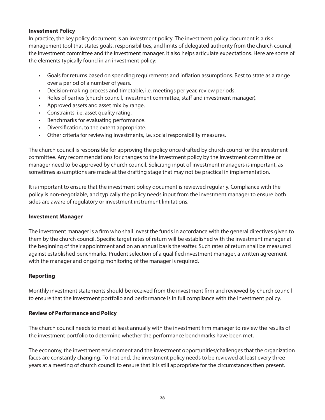#### **Investment Policy**

In practice, the key policy document is an investment policy. The investment policy document is a risk management tool that states goals, responsibilities, and limits of delegated authority from the church council, the investment committee and the investment manager. It also helps articulate expectations. Here are some of the elements typically found in an investment policy:

- Goals for returns based on spending requirements and inflation assumptions. Best to state as a range over a period of a number of years.
- Decision-making process and timetable, i.e. meetings per year, review periods.
- Roles of parties (church council, investment committee, staff and investment manager).
- Approved assets and asset mix by range.
- Constraints, i.e. asset quality rating.
- Benchmarks for evaluating performance.
- Diversification, to the extent appropriate.
- Other criteria for reviewing investments, i.e. social responsibility measures.

The church council is responsible for approving the policy once drafted by church council or the investment committee. Any recommendations for changes to the investment policy by the investment committee or manager need to be approved by church council. Soliciting input of investment managers is important, as sometimes assumptions are made at the drafting stage that may not be practical in implementation.

It is important to ensure that the investment policy document is reviewed regularly. Compliance with the policy is non-negotiable, and typically the policy needs input from the investment manager to ensure both sides are aware of regulatory or investment instrument limitations.

#### **Investment Manager**

The investment manager is a firm who shall invest the funds in accordance with the general directives given to them by the church council. Specific target rates of return will be established with the investment manager at the beginning of their appointment and on an annual basis thereafter. Such rates of return shall be measured against established benchmarks. Prudent selection of a qualified investment manager, a written agreement with the manager and ongoing monitoring of the manager is required.

#### **Reporting**

Monthly investment statements should be received from the investment firm and reviewed by church council to ensure that the investment portfolio and performance is in full compliance with the investment policy.

#### **Review of Performance and Policy**

The church council needs to meet at least annually with the investment firm manager to review the results of the investment portfolio to determine whether the performance benchmarks have been met.

The economy, the investment environment and the investment opportunities/challenges that the organization faces are constantly changing. To that end, the investment policy needs to be reviewed at least every three years at a meeting of church council to ensure that it is still appropriate for the circumstances then present.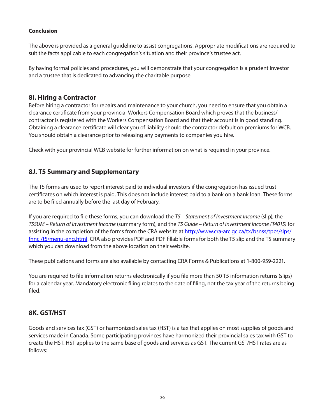#### **Conclusion**

The above is provided as a general guideline to assist congregations. Appropriate modifications are required to suit the facts applicable to each congregation's situation and their province's trustee act.

By having formal policies and procedures, you will demonstrate that your congregation is a prudent investor and a trustee that is dedicated to advancing the charitable purpose.

#### **8I. Hiring a Contractor**

Before hiring a contractor for repairs and maintenance to your church, you need to ensure that you obtain a clearance certificate from your provincial Workers Compensation Board which proves that the business/ contractor is registered with the Workers Compensation Board and that their account is in good standing. Obtaining a clearance certificate will clear you of liability should the contractor default on premiums for WCB. You should obtain a clearance prior to releasing any payments to companies you hire.

Check with your provincial WCB website for further information on what is required in your province.

#### **8J. T5 Summary and Supplementary**

The T5 forms are used to report interest paid to individual investors if the congregation has issued trust certificates on which interest is paid. This does not include interest paid to a bank on a bank loan. These forms are to be filed annually before the last day of February.

If you are required to file these forms, you can download the *T5 – Statement of Investment Income* (slip), the *T5SUM – Return of Investment Income* (summary form), and the *T5 Guide – Return of Investment Income (T4015)* for assisting in the completion of the forms from the CRA website at http://www.cra-arc.gc.ca/tx/bsnss/tpcs/slps/ fnncl/t5/menu-eng.html. CRA also provides PDF and PDF fillable forms for both the T5 slip and the T5 summary which you can download from the above location on their website.

These publications and forms are also available by contacting CRA Forms & Publications at 1-800-959-2221.

You are required to file information returns electronically if you file more than 50 T5 information returns (slips) for a calendar year. Mandatory electronic filing relates to the date of filing, not the tax year of the returns being filed.

#### **8K. GST/HST**

Goods and services tax (GST) or harmonized sales tax (HST) is a tax that applies on most supplies of goods and services made in Canada. Some participating provinces have harmonized their provincial sales tax with GST to create the HST. HST applies to the same base of goods and services as GST. The current GST/HST rates are as follows: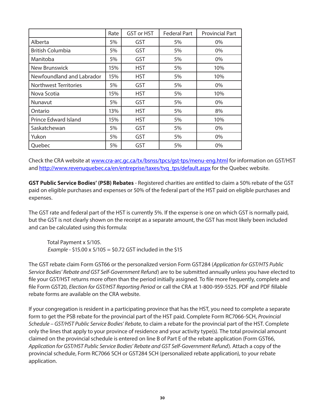|                           | Rate | <b>GST or HST</b> | <b>Federal Part</b> | <b>Provincial Part</b> |
|---------------------------|------|-------------------|---------------------|------------------------|
| Alberta                   | 5%   | <b>GST</b>        | 5%                  | $0\%$                  |
| <b>British Columbia</b>   | 5%   | GST               | 5%                  | $0\%$                  |
| Manitoba                  | 5%   | GST               | 5%                  | 0%                     |
| New Brunswick             | 15%  | <b>HST</b>        | 5%                  | 10%                    |
| Newfoundland and Labrador | 15%  | HST               | 5%                  | 10%                    |
| Northwest Territories     | 5%   | GST               | 5%                  | 0%                     |
| Nova Scotia               | 15%  | <b>HST</b>        | 5%                  | 10%                    |
| Nunavut                   | 5%   | <b>GST</b>        | 5%                  | $0\%$                  |
| Ontario                   | 13%  | <b>HST</b>        | 5%                  | 8%                     |
| Prince Edward Island      | 15%  | <b>HST</b>        | 5%                  | 10%                    |
| Saskatchewan              | 5%   | <b>GST</b>        | 5%                  | $0\%$                  |
| Yukon                     | 5%   | GST               | 5%                  | 0%                     |
| Quebec                    | 5%   | GST               | 5%                  | 0%                     |

Check the CRA website at www.cra-arc.gc.ca/tx/bsnss/tpcs/gst-tps/menu-eng.html for information on GST/HST and http://www.revenuquebec.ca/en/entreprise/taxes/tvq\_tps/default.aspx for the Quebec website.

**GST Public Service Bodies' (PSB) Rebates** - Registered charities are entitled to claim a 50% rebate of the GST paid on eligible purchases and expenses or 50% of the federal part of the HST paid on eligible purchases and expenses.

The GST rate and federal part of the HST is currently 5%. If the expense is one on which GST is normally paid, but the GST is not clearly shown on the receipt as a separate amount, the GST has most likely been included and can be calculated using this formula:

 Total Payment x 5/105. *Example* - \$15.00 x 5/105 = \$0.72 GST included in the \$15

The GST rebate claim Form GST66 or the personalized version Form GST284 (*Application for GST/HTS Public Service Bodies' Rebate and GST Self-Government Refund*) are to be submitted annually unless you have elected to file your GST/HST returns more often than the period initially assigned. To file more frequently, complete and file Form GST20, *Election for GST/HST Reporting Period* or call the CRA at 1-800-959-5525. PDF and PDF fillable rebate forms are available on the CRA website.

If your congregation is resident in a participating province that has the HST, you need to complete a separate form to get the PSB rebate for the provincial part of the HST paid. Complete Form RC7066-SCH, *Provincial Schedule – GST/HST Public Service Bodies' Rebate*, to claim a rebate for the provincial part of the HST. Complete only the lines that apply to your province of residence and your activity type(s). The total provincial amount claimed on the provincial schedule is entered on line B of Part E of the rebate application (Form GST66, *Application for GST/HST Public Service Bodies' Rebate and GST Self-Government Refund*). Attach a copy of the provincial schedule, Form RC7066 SCH or GST284 SCH (personalized rebate application), to your rebate application.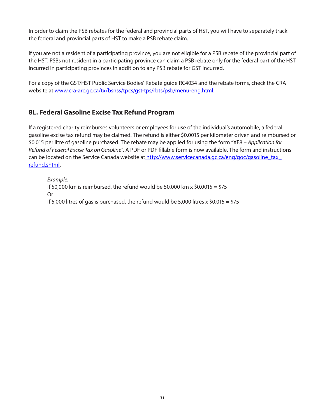In order to claim the PSB rebates for the federal and provincial parts of HST, you will have to separately track the federal and provincial parts of HST to make a PSB rebate claim.

If you are not a resident of a participating province, you are not eligible for a PSB rebate of the provincial part of the HST. PSBs not resident in a participating province can claim a PSB rebate only for the federal part of the HST incurred in participating provinces in addition to any PSB rebate for GST incurred.

For a copy of the GST/HST Public Service Bodies' Rebate guide RC4034 and the rebate forms, check the CRA website at www.cra-arc.gc.ca/tx/bsnss/tpcs/gst-tps/rbts/psb/menu-eng.html.

#### **8L. Federal Gasoline Excise Tax Refund Program**

If a registered charity reimburses volunteers or employees for use of the individual's automobile, a federal gasoline excise tax refund may be claimed. The refund is either \$0.0015 per kilometer driven and reimbursed or \$0.015 per litre of gasoline purchased. The rebate may be applied for using the form "XE8 – *Application for Refund of Federal Excise Tax on Gasoline*". A PDF or PDF fillable form is now available. The form and instructions can be located on the Service Canada website at http://www.servicecanada.gc.ca/eng/goc/gasoline\_tax\_ refund.shtml.

 *Example:* If 50,000 km is reimbursed, the refund would be 50,000 km x  $$0.0015 = $75$  Or If 5,000 litres of gas is purchased, the refund would be 5,000 litres x  $$0.015 = $75$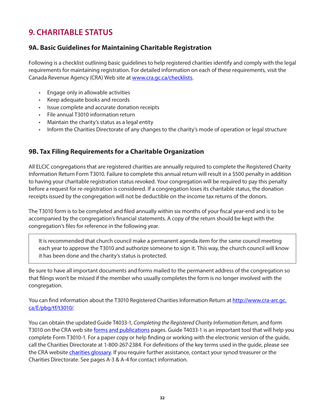## **9. CHARITABLE STATUS**

#### **9A. Basic Guidelines for Maintaining Charitable Registration**

Following is a checklist outlining basic guidelines to help registered charities identify and comply with the legal requirements for maintaining registration. For detailed information on each of these requirements, visit the Canada Revenue Agency (CRA) Web site at www.cra.gc.ca/checklists.

- Engage only in allowable activities
- Keep adequate books and records
- Issue complete and accurate donation receipts
- File annual T3010 information return
- Maintain the charity's status as a legal entity
- Inform the Charities Directorate of any changes to the charity's mode of operation or legal structure

#### **9B. Tax Filing Requirements for a Charitable Organization**

All ELCIC congregations that are registered charities are annually required to complete the Registered Charity Information Return Form T3010. Failure to complete this annual return will result in a \$500 penalty in addition to having your charitable registration status revoked. Your congregation will be required to pay this penalty before a request for re-registration is considered. If a congregation loses its charitable status, the donation receipts issued by the congregation will not be deductible on the income tax returns of the donors.

The T3010 form is to be completed and filed annually within six months of your fiscal year-end and is to be accompanied by the congregation's financial statements. A copy of the return should be kept with the congregation's files for reference in the following year.

It is recommended that church council make a permanent agenda item for the same council meeting each year to approve the T3010 and authorize someone to sign it. This way, the church council will know it has been done and the charity's status is protected.

Be sure to have all important documents and forms mailed to the permanent address of the congregation so that filings won't be missed if the member who usually completes the form is no longer involved with the congregation.

You can find information about the T3010 Registered Charities Information Return at http://www.cra-arc.gc. ca/E/pbg/tf/t3010/.

You can obtain the updated Guide T4033-1, *Completing the Registered Charity Information Return*, and form T3010 on the CRA web site [forms and publications](http://www.cra-arc.gc.ca/chrts-gvng/chrts/formspubs/menu-eng.html) pages. Guide T4033-1 is an important tool that will help you complete Form T3010-1. For a paper copy or help finding or working with the electronic version of the guide, call the Charities Directorate at 1-800-267-2384. For definitions of the key terms used in the guide, please see the CRA website [charities glossary](http://www.cra-arc.gc.ca/chrts-gvng/chrts/glssry-eng.html). If you require further assistance, contact your synod treasurer or the Charities Directorate. See pages A-3 & A-4 for contact information.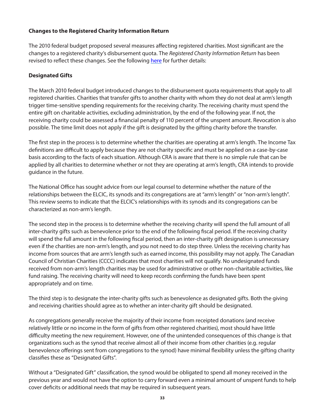#### **Changes to the Registered Charity Information Return**

The 2010 federal budget proposed several measures affecting registered charities. Most significant are the changes to a registered charity's disbursement quota. The *Registered Charity Information Return* has been revised to reflect these changes. See the following [here](https://www.canada.ca/en/revenue-agency/services/charities-giving/charities/operating-a-registered-charity/annual-spending-requirement-disbursement-quota/disbursement-quota-calculation.html) for further details:

#### **Designated Gifts**

The March 2010 federal budget introduced changes to the disbursement quota requirements that apply to all registered charities. Charities that transfer gifts to another charity with whom they do not deal at arm's length trigger time-sensitive spending requirements for the receiving charity. The receiving charity must spend the entire gift on charitable activities, excluding administration, by the end of the following year. If not, the receiving charity could be assessed a financial penalty of 110 percent of the unspent amount. Revocation is also possible. The time limit does not apply if the gift is designated by the gifting charity before the transfer.

The first step in the process is to determine whether the charities are operating at arm's length. The Income Tax definitions are difficult to apply because they are not charity specific and must be applied on a case-by-case basis according to the facts of each situation. Although CRA is aware that there is no simple rule that can be applied by all charities to determine whether or not they are operating at arm's length, CRA intends to provide guidance in the future.

The National Office has sought advice from our legal counsel to determine whether the nature of the relationships between the ELCIC, its synods and its congregations are at "arm's length" or "non-arm's length". This review seems to indicate that the ELCIC's relationships with its synods and its congregations can be characterized as non-arm's length.

The second step in the process is to determine whether the receiving charity will spend the full amount of all inter-charity gifts such as benevolence prior to the end of the following fiscal period. If the receiving charity will spend the full amount in the following fiscal period, then an inter-charity gift designation is unnecessary even if the charities are non-arm's length, and you not need to do step three. Unless the receiving charity has income from sources that are arm's length such as earned income, this possibility may not apply. The Canadian Council of Christian Charities (CCCC) indicates that most charities will not qualify. No undesignated funds received from non-arm's length charities may be used for administrative or other non-charitable activities, like fund raising. The receiving charity will need to keep records confirming the funds have been spent appropriately and on time.

The third step is to designate the inter-charity gifts such as benevolence as designated gifts. Both the giving and receiving charities should agree as to whether an inter-charity gift should be designated.

As congregations generally receive the majority of their income from receipted donations (and receive relatively little or no income in the form of gifts from other registered charities), most should have little difficulty meeting the new requirement. However, one of the unintended consequences of this change is that organizations such as the synod that receive almost all of their income from other charities (e.g. regular benevolence offerings sent from congregations to the synod) have minimal flexibility unless the gifting charity classifies these as "Designated Gifts".

Without a "Designated Gift" classification, the synod would be obligated to spend all money received in the previous year and would not have the option to carry forward even a minimal amount of unspent funds to help cover deficits or additional needs that may be required in subsequent years.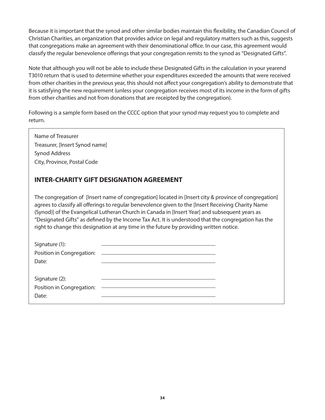Because it is important that the synod and other similar bodies maintain this flexibility, the Canadian Council of Christian Charities, an organization that provides advice on legal and regulatory matters such as this, suggests that congregations make an agreement with their denominational office. In our case, this agreement would classify the regular benevolence offerings that your congregation remits to the synod as "Designated Gifts".

Note that although you will not be able to include these Designated Gifts in the calculation in your yearend T3010 return that is used to determine whether your expenditures exceeded the amounts that were received from other charities in the previous year, this should not affect your congregation's ability to demonstrate that it is satisfying the new requirement (unless your congregation receives most of its income in the form of gifts from other charities and not from donations that are receipted by the congregation).

Following is a sample form based on the CCCC option that your synod may request you to complete and return.

Name of Treasurer Treasurer, [Insert Synod name] Synod Address City, Province, Postal Code

#### **INTER-CHARITY GIFT DESIGNATION AGREEMENT**

The congregation of [Insert name of congregation] located in [Insert city & province of congregation] agrees to classify all offerings to regular benevolence given to the [Insert Receiving Charity Name (Synod)] of the Evangelical Lutheran Church in Canada in [Insert Year] and subsequent years as "Designated Gifts" as defined by the Income Tax Act. It is understood that the congregation has the right to change this designation at any time in the future by providing written notice.

| Signature (1): |                                                |  |
|----------------|------------------------------------------------|--|
|                |                                                |  |
| Date:          |                                                |  |
|                |                                                |  |
| Signature (2): |                                                |  |
|                | Position in Congregation: ———————————————————— |  |
| Date:          |                                                |  |
|                |                                                |  |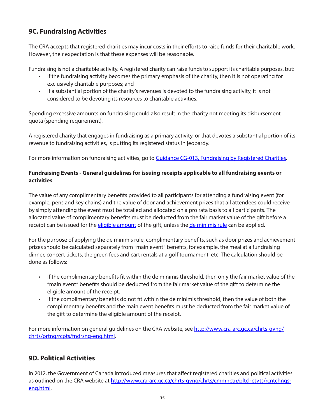#### **9C. Fundraising Activities**

The CRA accepts that registered charities may incur costs in their efforts to raise funds for their charitable work. However, their expectation is that these expenses will be reasonable.

Fundraising is not a charitable activity. A registered charity can raise funds to support its charitable purposes, but:

- If the fundraising activity becomes the primary emphasis of the charity, then it is not operating for exclusively charitable purposes; and
- If a substantial portion of the charity's revenues is devoted to the fundraising activity, it is not considered to be devoting its resources to charitable activities.

Spending excessive amounts on fundraising could also result in the charity not meeting its disbursement quota (spending requirement).

A registered charity that engages in fundraising as a primary activity, or that devotes a substantial portion of its revenue to fundraising activities, is putting its registered status in jeopardy.

For more information on fundraising activities, go to [Guidance CG-013, Fundraising by Registered Charities.](http://www.cra-arc.gc.ca/chrts-gvng/chrts/plcy/cgd/fndrsng-eng.html)

#### **Fundraising Events - General guidelines for issuing receipts applicable to all fundraising events or activities**

The value of any complimentary benefits provided to all participants for attending a fundraising event (for example, pens and key chains) and the value of door and achievement prizes that all attendees could receive by simply attending the event must be totalled and allocated on a pro rata basis to all participants. The allocated value of complimentary benefits must be deducted from the fair market value of the gift before a receipt can be issued for the [eligible amount](http://www.cra-arc.gc.ca/chrts-gvng/chrts/glssry-eng.html#eligamt) of the gift, unless the [de minimis rule](http://www.cra-arc.gc.ca/chrts-gvng/chrts/prtng/rcpts/splt-eng.html#deminimis) can be applied.

For the purpose of applying the de minimis rule, complimentary benefits, such as door prizes and achievement prizes should be calculated separately from "main event" benefits, for example, the meal at a fundraising dinner, concert tickets, the green fees and cart rentals at a golf tournament, etc. The calculation should be done as follows:

- If the complimentary benefits fit within the de minimis threshold, then only the fair market value of the "main event" benefits should be deducted from the fair market value of the gift to determine the eligible amount of the receipt.
- If the complimentary benefits do not fit within the de minimis threshold, then the value of both the complimentary benefits and the main event benefits must be deducted from the fair market value of the gift to determine the eligible amount of the receipt.

For more information on general guidelines on the CRA website, see http://www.cra-arc.gc.ca/chrts-gvng/ chrts/prtng/rcpts/fndrsng-eng.html.

#### **9D. Political Activities**

In 2012, the Government of Canada introduced measures that affect registered charities and political activities as outlined on the CRA website at http://www.cra-arc.gc.ca/chrts-gyng/chrts/cmmnctn/pltcl-ctvts/rcntchngseng.html.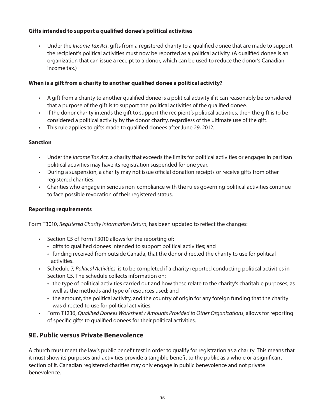#### **Gifts intended to support a qualified donee's political activities**

• Under the *Income Tax Act*, gifts from a registered charity to a qualified donee that are made to support the recipient's political activities must now be reported as a political activity. (A qualified donee is an organization that can issue a receipt to a donor, which can be used to reduce the donor's Canadian income tax.)

#### **When is a gift from a charity to another qualified donee a political activity?**

- A gift from a charity to another qualified donee is a political activity if it can reasonably be considered that a purpose of the gift is to support the political activities of the qualified donee.
- If the donor charity intends the gift to support the recipient's political activities, then the gift is to be considered a political activity by the donor charity, regardless of the ultimate use of the gift.
- This rule applies to gifts made to qualified donees after June 29, 2012.

#### **Sanction**

- Under the *Income Tax Act*, a charity that exceeds the limits for political activities or engages in partisan political activities may have its registration suspended for one year.
- During a suspension, a charity may not issue official donation receipts or receive gifts from other registered charities.
- Charities who engage in serious non-compliance with the rules governing political activities continue to face possible revocation of their registered status.

#### **Reporting requirements**

Form T3010, *Registered Charity Information Return*, has been updated to reflect the changes:

- Section C5 of Form T3010 allows for the reporting of:
	- gifts to qualified donees intended to support political activities; and
	- funding received from outside Canada, that the donor directed the charity to use for political activities.
- Schedule 7, *Political Activities*, is to be completed if a charity reported conducting political activities in Section C5. The schedule collects information on:
	- the type of political activities carried out and how these relate to the charity's charitable purposes, as well as the methods and type of resources used; and
	- the amount, the political activity, and the country of origin for any foreign funding that the charity was directed to use for political activities.
- Form T1236, *Qualified Donees Worksheet / Amounts Provided to Other Organizations*, allows for reporting of specific gifts to qualified donees for their political activities.

#### **9E. Public versus Private Benevolence**

A church must meet the law's public benefit test in order to qualify for registration as a charity. This means that it must show its purposes and activities provide a tangible benefit to the public as a whole or a significant section of it. Canadian registered charities may only engage in public benevolence and not private benevolence.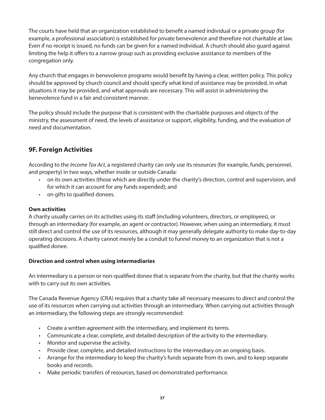The courts have held that an organization established to benefit a named individual or a private group (for example, a professional association) is established for private benevolence and therefore not charitable at law. Even if no receipt is issued, no funds can be given for a named individual. A church should also guard against limiting the help it offers to a narrow group such as providing exclusive assistance to members of the congregation only.

Any church that engages in benevolence programs would benefit by having a clear, written policy. This policy should be approved by church council and should specify what kind of assistance may be provided, in what situations it may be provided, and what approvals are necessary. This will assist in administering the benevolence fund in a fair and consistent manner.

The policy should include the purpose that is consistent with the charitable purposes and objects of the ministry, the assessment of need, the levels of assistance or support, eligibility, funding, and the evaluation of need and documentation.

#### **9F. Foreign Activities**

According to the *Income Tax Act*, a registered charity can only use its resources (for example, funds, personnel, and property) in two ways, whether inside or outside Canada:

- on its own activities (those which are directly under the charity's direction, control and supervision, and for which it can account for any funds expended); and
- on gifts to qualified donees.

#### **Own activities**

A charity usually carries on its activities using its staff (including volunteers, directors, or employees), or through an intermediary (for example, an agent or contractor). However, when using an intermediary, it must still direct and control the use of its resources, although it may generally delegate authority to make day-to-day operating decisions. A charity cannot merely be a conduit to funnel money to an organization that is not a qualified donee.

#### **Direction and control when using intermediaries**

An intermediary is a person or non-qualified donee that is separate from the charity, but that the charity works with to carry out its own activities.

The Canada Revenue Agency (CRA) requires that a charity take all necessary measures to direct and control the use of its resources when carrying out activities through an intermediary. When carrying out activities through an intermediary, the following steps are strongly recommended:

- Create a written agreement with the intermediary, and implement its terms.
- Communicate a clear, complete, and detailed description of the activity to the intermediary.
- Monitor and supervise the activity.
- Provide clear, complete, and detailed instructions to the intermediary on an ongoing basis.
- Arrange for the intermediary to keep the charity's funds separate from its own, and to keep separate books and records.
- Make periodic transfers of resources, based on demonstrated performance.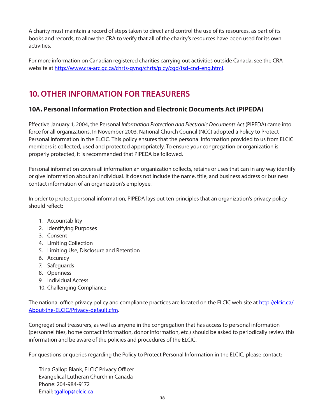A charity must maintain a record of steps taken to direct and control the use of its resources, as part of its books and records, to allow the CRA to verify that all of the charity's resources have been used for its own activities.

For more information on Canadian registered charities carrying out activities outside Canada, see the CRA website at http://www.cra-arc.gc.ca/chrts-gvng/chrts/plcy/cgd/tsd-cnd-eng.html.

## **10. OTHER INFORMATION FOR TREASURERS**

#### **10A. Personal Information Protection and Electronic Documents Act (PIPEDA)**

Effective January 1, 2004, the Personal *Information Protection and Electronic Documents Act* (PIPEDA) came into force for all organizations. In November 2003, National Church Council (NCC) adopted a Policy to Protect Personal Information in the ELCIC. This policy ensures that the personal information provided to us from ELCIC members is collected, used and protected appropriately. To ensure your congregation or organization is properly protected, it is recommended that PIPEDA be followed.

Personal information covers all information an organization collects, retains or uses that can in any way identify or give information about an individual. It does not include the name, title, and business address or business contact information of an organization's employee.

In order to protect personal information, PIPEDA lays out ten principles that an organization's privacy policy should reflect:

- 1. Accountability
- 2. Identifying Purposes
- 3. Consent
- 4. Limiting Collection
- 5. Limiting Use, Disclosure and Retention
- 6. Accuracy
- 7. Safeguards
- 8. Openness
- 9. Individual Access
- 10. Challenging Compliance

The national office privacy policy and compliance practices are located on the ELCIC web site at http://elcic.ca/ About-the-ELCIC/Privacy-default.cfm.

Congregational treasurers, as well as anyone in the congregation that has access to personal information (personnel files, home contact information, donor information, etc.) should be asked to periodically review this information and be aware of the policies and procedures of the ELCIC.

For questions or queries regarding the Policy to Protect Personal Information in the ELCIC, please contact:

Trina Gallop Blank, ELCIC Privacy Officer Evangelical Lutheran Church in Canada Phone: 204-984-9172 Email: tgallop@elcic.ca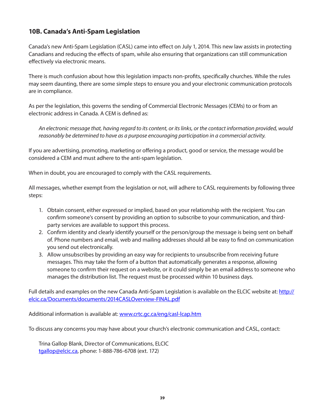#### **10B. Canada's Anti-Spam Legislation**

Canada's new Anti-Spam Legislation (CASL) came into effect on July 1, 2014. This new law assists in protecting Canadians and reducing the effects of spam, while also ensuring that organizations can still communication effectively via electronic means.

There is much confusion about how this legislation impacts non-profits, specifically churches. While the rules may seem daunting, there are some simple steps to ensure you and your electronic communication protocols are in compliance.

As per the legislation, this governs the sending of Commercial Electronic Messages (CEMs) to or from an electronic address in Canada. A CEM is defined as:

*An electronic message that, having regard to its content, or its links, or the contact information provided, would reasonably be determined to have as a purpose encouraging participation in a commercial activity.*

If you are advertising, promoting, marketing or offering a product, good or service, the message would be considered a CEM and must adhere to the anti-spam legislation.

When in doubt, you are encouraged to comply with the CASL requirements.

All messages, whether exempt from the legislation or not, will adhere to CASL requirements by following three steps:

- 1. Obtain consent, either expressed or implied, based on your relationship with the recipient. You can confirm someone's consent by providing an option to subscribe to your communication, and third party services are available to support this process.
- 2. Confirm identity and clearly identify yourself or the person/group the message is being sent on behalf of. Phone numbers and email, web and mailing addresses should all be easy to find on communication you send out electronically.
- 3. Allow unsubscribes by providing an easy way for recipients to unsubscribe from receiving future messages. This may take the form of a button that automatically generates a response, allowing someone to confirm their request on a website, or it could simply be an email address to someone who manages the distribution list. The request must be processed within 10 business days.

Full details and examples on the new Canada Anti-Spam Legislation is available on the ELCIC website at: http:// elcic.ca/Documents/documents/2014CASLOverview-FINAL.pdf

Additional information is available at: www.crtc.gc.ca/eng/casl-lcap.htm

To discuss any concerns you may have about your church's electronic communication and CASL, contact:

Trina Gallop Blank, Director of Communications, ELCIC tgallop@elcic.ca, phone: 1-888-786-6708 (ext. 172)